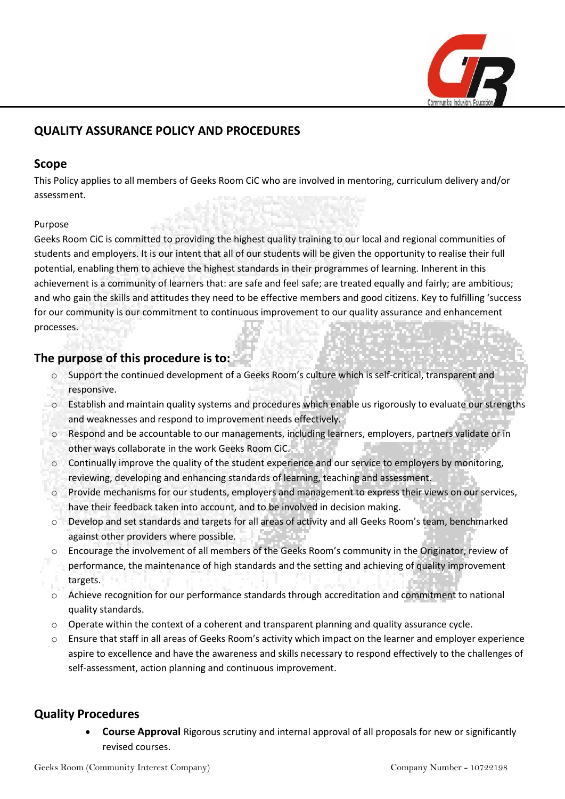

# **QUALITY ASSURANCE POLICY AND PROCEDURES**

### **Scope**

This Policy applies to all members of Geeks Room CiC who are involved in mentoring, curriculum delivery and/or assessment.

### Purpose

Geeks Room CiC is committed to providing the highest quality training to our local and regional communities of students and employers. It is our intent that all of our students will be given the opportunity to realise their full potential, enabling them to achieve the highest standards in their programmes of learning. Inherent in this achievement is a community of learners that: are safe and feel safe; are treated equally and fairly; are ambitious; and who gain the skills and attitudes they need to be effective members and good citizens. Key to fulfilling 'success for our community is our commitment to continuous improvement to our quality assurance and enhancement processes.

# **The purpose of this procedure is to:**

- o Support the continued development of a Geeks Room's culture which is self-critical, transparent and responsive.
- o Establish and maintain quality systems and procedures which enable us rigorously to evaluate our strengths and weaknesses and respond to improvement needs effectively.
- o Respond and be accountable to our managements, including learners, employers, partners validate or in other ways collaborate in the work Geeks Room CiC.
- $\circ$  Continually improve the quality of the student experience and our service to employers by monitoring, reviewing, developing and enhancing standards of learning, teaching and assessment.
- o Provide mechanisms for our students, employers and management to express their views on our services, have their feedback taken into account, and to be involved in decision making.
- o Develop and set standards and targets for all areas of activity and all Geeks Room's team, benchmarked against other providers where possible.
- o Encourage the involvement of all members of the Geeks Room's community in the Originator, review of performance, the maintenance of high standards and the setting and achieving of quality improvement targets.
- o Achieve recognition for our performance standards through accreditation and commitment to national quality standards.
- o Operate within the context of a coherent and transparent planning and quality assurance cycle.
- o Ensure that staff in all areas of Geeks Room's activity which impact on the learner and employer experience aspire to excellence and have the awareness and skills necessary to respond effectively to the challenges of self-assessment, action planning and continuous improvement.

## **Quality Procedures**

• **Course Approval** Rigorous scrutiny and internal approval of all proposals for new or significantly revised courses.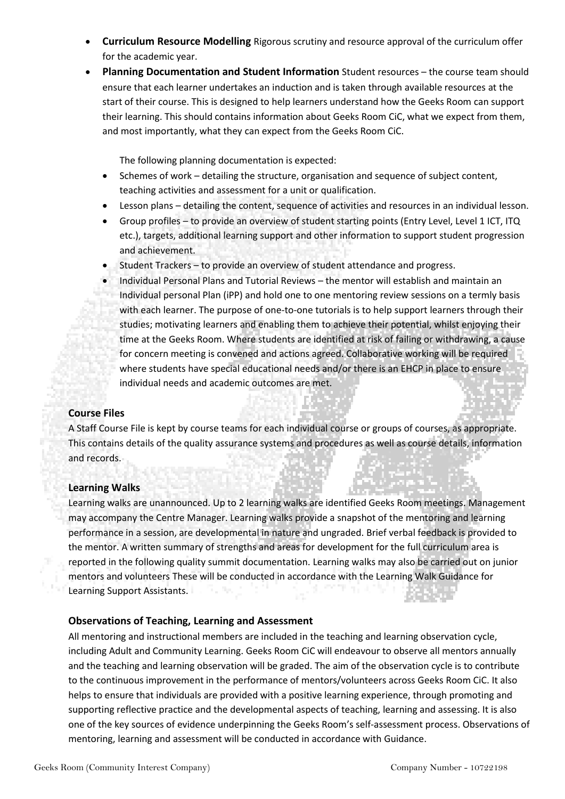- **Curriculum Resource Modelling** Rigorous scrutiny and resource approval of the curriculum offer for the academic year.
- **Planning Documentation and Student Information** Student resources the course team should ensure that each learner undertakes an induction and is taken through available resources at the start of their course. This is designed to help learners understand how the Geeks Room can support their learning. This should contains information about Geeks Room CiC, what we expect from them, and most importantly, what they can expect from the Geeks Room CiC.

The following planning documentation is expected:

- Schemes of work detailing the structure, organisation and sequence of subject content, teaching activities and assessment for a unit or qualification.
- Lesson plans detailing the content, sequence of activities and resources in an individual lesson.
- Group profiles to provide an overview of student starting points (Entry Level, Level 1 ICT, ITQ etc.), targets, additional learning support and other information to support student progression and achievement.
- Student Trackers to provide an overview of student attendance and progress.
- Individual Personal Plans and Tutorial Reviews the mentor will establish and maintain an Individual personal Plan (iPP) and hold one to one mentoring review sessions on a termly basis with each learner. The purpose of one-to-one tutorials is to help support learners through their studies; motivating learners and enabling them to achieve their potential, whilst enjoying their time at the Geeks Room. Where students are identified at risk of failing or withdrawing, a cause for concern meeting is convened and actions agreed. Collaborative working will be required where students have special educational needs and/or there is an EHCP in place to ensure individual needs and academic outcomes are met.

### **Course Files**

A Staff Course File is kept by course teams for each individual course or groups of courses, as appropriate. This contains details of the quality assurance systems and procedures as well as course details, information and records.

#### **Learning Walks**

Learning walks are unannounced. Up to 2 learning walks are identified Geeks Room meetings. Management may accompany the Centre Manager. Learning walks provide a snapshot of the mentoring and learning performance in a session, are developmental in nature and ungraded. Brief verbal feedback is provided to the mentor. A written summary of strengths and areas for development for the full curriculum area is reported in the following quality summit documentation. Learning walks may also be carried out on junior mentors and volunteers These will be conducted in accordance with the Learning Walk Guidance for Learning Support Assistants.

### **Observations of Teaching, Learning and Assessment**

All mentoring and instructional members are included in the teaching and learning observation cycle, including Adult and Community Learning. Geeks Room CiC will endeavour to observe all mentors annually and the teaching and learning observation will be graded. The aim of the observation cycle is to contribute to the continuous improvement in the performance of mentors/volunteers across Geeks Room CiC. It also helps to ensure that individuals are provided with a positive learning experience, through promoting and supporting reflective practice and the developmental aspects of teaching, learning and assessing. It is also one of the key sources of evidence underpinning the Geeks Room's self-assessment process. Observations of mentoring, learning and assessment will be conducted in accordance with Guidance.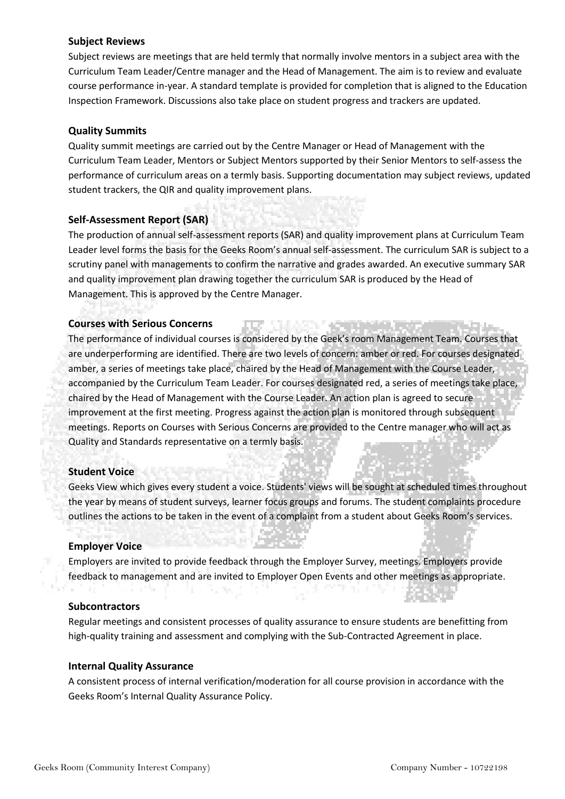#### **Subject Reviews**

Subject reviews are meetings that are held termly that normally involve mentors in a subject area with the Curriculum Team Leader/Centre manager and the Head of Management. The aim is to review and evaluate course performance in-year. A standard template is provided for completion that is aligned to the Education Inspection Framework. Discussions also take place on student progress and trackers are updated.

#### **Quality Summits**

Quality summit meetings are carried out by the Centre Manager or Head of Management with the Curriculum Team Leader, Mentors or Subject Mentors supported by their Senior Mentors to self-assess the performance of curriculum areas on a termly basis. Supporting documentation may subject reviews, updated student trackers, the QIR and quality improvement plans.

#### **Self-Assessment Report (SAR)**

The production of annual self-assessment reports (SAR) and quality improvement plans at Curriculum Team Leader level forms the basis for the Geeks Room's annual self-assessment. The curriculum SAR is subject to a scrutiny panel with managements to confirm the narrative and grades awarded. An executive summary SAR and quality improvement plan drawing together the curriculum SAR is produced by the Head of Management. This is approved by the Centre Manager.

#### **Courses with Serious Concerns**

The performance of individual courses is considered by the Geek's room Management Team. Courses that are underperforming are identified. There are two levels of concern: amber or red. For courses designated amber, a series of meetings take place, chaired by the Head of Management with the Course Leader, accompanied by the Curriculum Team Leader. For courses designated red, a series of meetings take place, chaired by the Head of Management with the Course Leader. An action plan is agreed to secure improvement at the first meeting. Progress against the action plan is monitored through subsequent meetings. Reports on Courses with Serious Concerns are provided to the Centre manager who will act as Quality and Standards representative on a termly basis.

#### **Student Voice**

Geeks View which gives every student a voice. Students' views will be sought at scheduled times throughout the year by means of student surveys, learner focus groups and forums. The student complaints procedure outlines the actions to be taken in the event of a complaint from a student about Geeks Room's services.

#### **Employer Voice**

Employers are invited to provide feedback through the Employer Survey, meetings. Employers provide feedback to management and are invited to Employer Open Events and other meetings as appropriate.

#### **Subcontractors**

Regular meetings and consistent processes of quality assurance to ensure students are benefitting from high-quality training and assessment and complying with the Sub-Contracted Agreement in place.

#### **Internal Quality Assurance**

A consistent process of internal verification/moderation for all course provision in accordance with the Geeks Room's Internal Quality Assurance Policy.